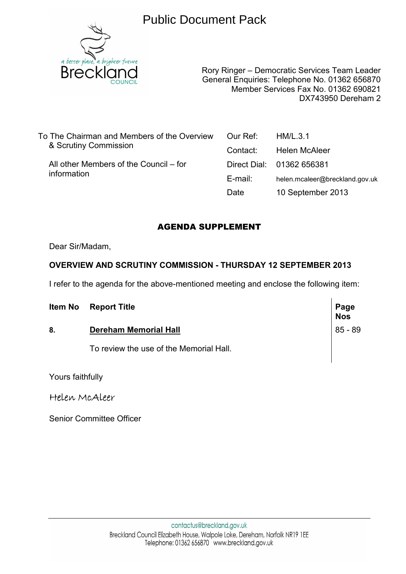# Public Document Pack



Rory Ringer – Democratic Services Team Leader General Enquiries: Telephone No. 01362 656870 Member Services Fax No. 01362 690821 DX743950 Dereham 2

To The Chairman and Members of the Overview & Scrutiny Commission

 All other Members of the Council – for information

| Our Ref: | HM/L.3.1                       |
|----------|--------------------------------|
| Contact: | Helen McAleer                  |
|          | Direct Dial: 01362 656381      |
| E-mail:  | helen.mcaleer@breckland.gov.uk |
| Date     | 10 September 2013              |

# AGENDA SUPPLEMENT

Dear Sir/Madam,

# **OVERVIEW AND SCRUTINY COMMISSION - THURSDAY 12 SEPTEMBER 2013**

I refer to the agenda for the above-mentioned meeting and enclose the following item:

|  | <b>Item No Report Title</b> | Page<br><b>Nos</b> |
|--|-----------------------------|--------------------|
|  |                             |                    |

# **8. Dereham Memorial Hall 85 - 89**

To review the use of the Memorial Hall.

Yours faithfully

Helen McAleer

Senior Committee Officer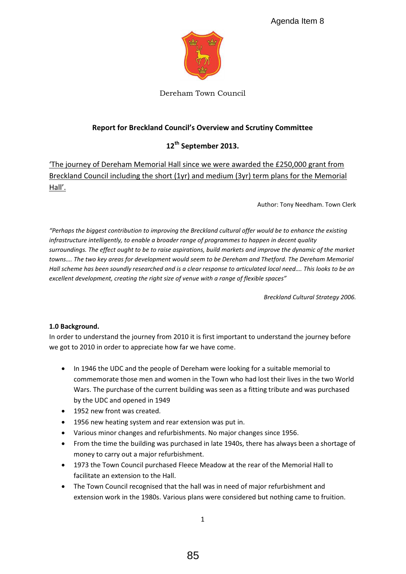

Dereham Town Council

## Report for Breckland Council's Overview and Scrutiny Committee

## **12th September 2013.**

͚The journey of Dereham Memorial Hall since we were awarded the £250,000 grant from Breckland Council including the short (1yr) and medium (3yr) term plans for the Memorial Hall'.

Author: Tony Needham. Town Clerk

*<i>"Perhaps the biggest contribution to improving the Breckland cultural offer would be to enhance the existing infrastructure intelligently, to enable a broader range of programmes to happen in decent quality surroundings. The effect ought to be to raise aspirations, build markets and improve the dynamic of the market*  towns.... The two key areas for development would seem to be Dereham and Thetford. The Dereham Memorial *Hall scheme has been soundly researched and is a clear response to articulated local need.... This looks to be an* excellent development, creating the right size of venue with a range of flexible spaces"

*Breckland Cultural Strategy 2006.* 

#### **1.0 Background.**

In order to understand the journey from 2010 it is first important to understand the journey before we got to 2010 in order to appreciate how far we have come.

- In 1946 the UDC and the people of Dereham were looking for a suitable memorial to commemorate those men and women in the Town who had lost their lives in the two World Wars. The purchase of the current building was seen as a fitting tribute and was purchased by the UDC and opened in 1949
- 1952 new front was created.
- 1956 new heating system and rear extension was put in.
- Various minor changes and refurbishments. No major changes since 1956.
- From the time the building was purchased in late 1940s, there has always been a shortage of money to carry out a major refurbishment.
- 1973 the Town Council purchased Fleece Meadow at the rear of the Memorial Hall to facilitate an extension to the Hall.
- The Town Council recognised that the hall was in need of major refurbishment and extension work in the 1980s. Various plans were considered but nothing came to fruition.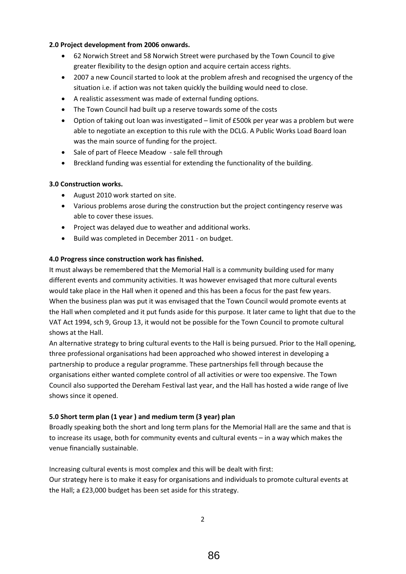#### **2.0 Project development from 2006 onwards.**

- 62 Norwich Street and 58 Norwich Street were purchased by the Town Council to give greater flexibility to the design option and acquire certain access rights.
- 2007 a new Council started to look at the problem afresh and recognised the urgency of the situation i.e. if action was not taken quickly the building would need to close.
- A realistic assessment was made of external funding options.
- The Town Council had built up a reserve towards some of the costs
- Option of taking out loan was investigated  $-$  limit of £500k per year was a problem but were able to negotiate an exception to this rule with the DCLG. A Public Works Load Board loan was the main source of funding for the project.
- Sale of part of Fleece Meadow sale fell through
- Breckland funding was essential for extending the functionality of the building.

#### **3.0 Construction works.**

- August 2010 work started on site.
- Various problems arose during the construction but the project contingency reserve was able to cover these issues.
- Project was delayed due to weather and additional works.
- Build was completed in December 2011 on budget.

#### **4.0 Progress since construction work has finished.**

It must always be remembered that the Memorial Hall is a community building used for many different events and community activities. It was however envisaged that more cultural events would take place in the Hall when it opened and this has been a focus for the past few years. When the business plan was put it was envisaged that the Town Council would promote events at the Hall when completed and it put funds aside for this purpose. It later came to light that due to the VAT Act 1994, sch 9, Group 13, it would not be possible for the Town Council to promote cultural shows at the Hall.

An alternative strategy to bring cultural events to the Hall is being pursued. Prior to the Hall opening, three professional organisations had been approached who showed interest in developing a partnership to produce a regular programme. These partnerships fell through because the organisations either wanted complete control of all activities or were too expensive. The Town Council also supported the Dereham Festival last year, and the Hall has hosted a wide range of live shows since it opened.

#### **5.0 Short term plan (1 year ) and medium term (3 year) plan**

Broadly speaking both the short and long term plans for the Memorial Hall are the same and that is to increase its usage, both for community events and cultural events - in a way which makes the venue financially sustainable.

Increasing cultural events is most complex and this will be dealt with first: Our strategy here is to make it easy for organisations and individuals to promote cultural events at the Hall; a £23,000 budget has been set aside for this strategy.

2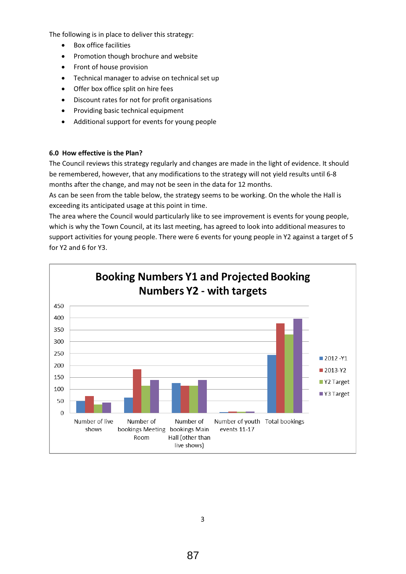The following is in place to deliver this strategy:

- Box office facilities
- Promotion though brochure and website
- Front of house provision
- Technical manager to advise on technical set up
- Offer box office split on hire fees
- Discount rates for not for profit organisations
- Providing basic technical equipment
- Additional support for events for young people

#### **6.0 How effective is the Plan?**

The Council reviews this strategy regularly and changes are made in the light of evidence. It should be remembered, however, that any modifications to the strategy will not yield results until 6-8 months after the change, and may not be seen in the data for 12 months.

As can be seen from the table below, the strategy seems to be working. On the whole the Hall is exceeding its anticipated usage at this point in time.

The area where the Council would particularly like to see improvement is events for young people, which is why the Town Council, at its last meeting, has agreed to look into additional measures to support activities for young people. There were 6 events for young people in Y2 against a target of 5 for Y2 and 6 for Y3.

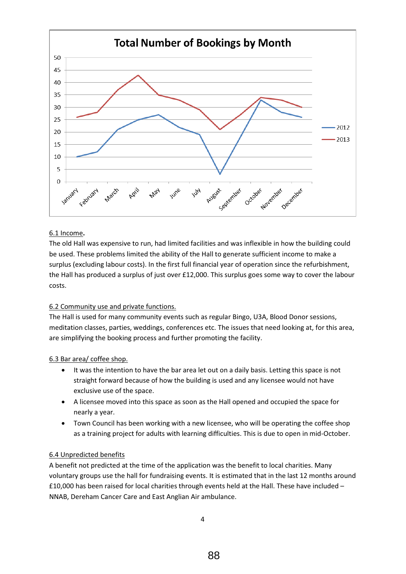

#### 6.1 Income**.**

The old Hall was expensive to run, had limited facilities and was inflexible in how the building could be used. These problems limited the ability of the Hall to generate sufficient income to make a surplus (excluding labour costs). In the first full financial year of operation since the refurbishment, the Hall has produced a surplus of just over £12,000. This surplus goes some way to cover the labour costs.

### 6.2 Community use and private functions.

The Hall is used for many community events such as regular Bingo, U3A, Blood Donor sessions, meditation classes, parties, weddings, conferences etc. The issues that need looking at, for this area, are simplifying the booking process and further promoting the facility.

#### 6.3 Bar area/ coffee shop.

- It was the intention to have the bar area let out on a daily basis. Letting this space is not straight forward because of how the building is used and any licensee would not have exclusive use of the space.
- A licensee moved into this space as soon as the Hall opened and occupied the space for nearly a year.
- Town Council has been working with a new licensee, who will be operating the coffee shop as a training project for adults with learning difficulties. This is due to open in mid-October.

#### 6.4 Unpredicted benefits

A benefit not predicted at the time of the application was the benefit to local charities. Many voluntary groups use the hall for fundraising events. It is estimated that in the last 12 months around £10,000 has been raised for local charities through events held at the Hall. These have included  $-$ NNAB, Dereham Cancer Care and East Anglian Air ambulance.